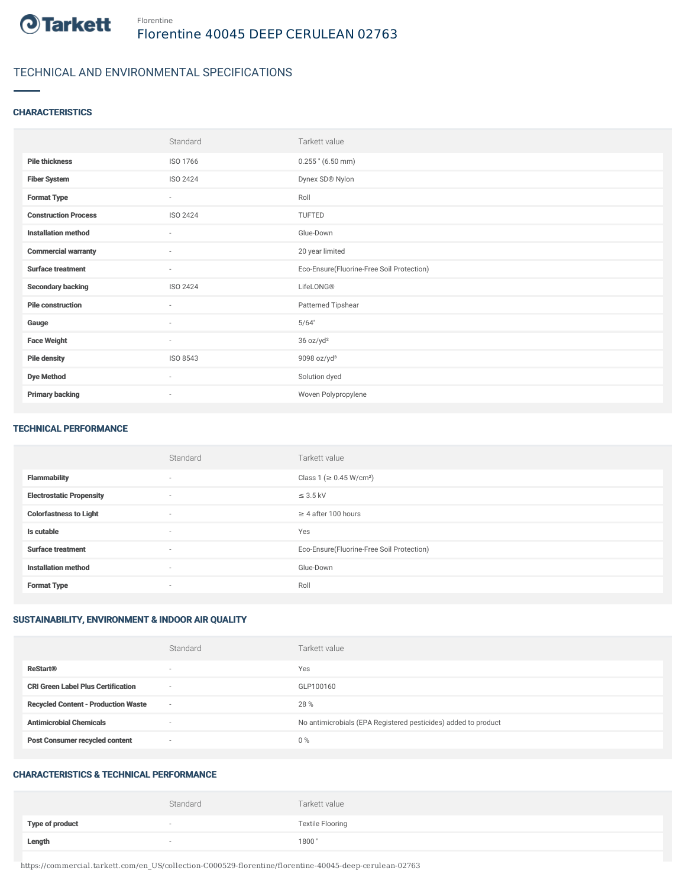

## TECHNICAL AND ENVIRONMENTAL SPECIFICATIONS

## **CHARACTERISTICS**

|                             | Standard                 | Tarkett value                             |
|-----------------------------|--------------------------|-------------------------------------------|
| <b>Pile thickness</b>       | ISO 1766                 | $0.255$ " (6.50 mm)                       |
| <b>Fiber System</b>         | ISO 2424                 | Dynex SD® Nylon                           |
| <b>Format Type</b>          | $\sim$                   | Roll                                      |
| <b>Construction Process</b> | ISO 2424                 | TUFTED                                    |
| <b>Installation method</b>  | $\sim$                   | Glue-Down                                 |
| <b>Commercial warranty</b>  | ٠                        | 20 year limited                           |
| <b>Surface treatment</b>    | $\sim$                   | Eco-Ensure(Fluorine-Free Soil Protection) |
| <b>Secondary backing</b>    | ISO 2424                 | LifeLONG®                                 |
| <b>Pile construction</b>    | ٠                        | Patterned Tipshear                        |
| Gauge                       | $\sim$                   | 5/64"                                     |
| <b>Face Weight</b>          | $\sim$                   | 36 oz/yd <sup>2</sup>                     |
| <b>Pile density</b>         | ISO 8543                 | 9098 oz/yd $3$                            |
| <b>Dye Method</b>           | $\sim$                   | Solution dyed                             |
| <b>Primary backing</b>      | $\overline{\phantom{a}}$ | Woven Polypropylene                       |

#### TECHNICAL PERFORMANCE

|                                 | Standard                 | Tarkett value                             |
|---------------------------------|--------------------------|-------------------------------------------|
| <b>Flammability</b>             | $\sim$                   | Class 1 (≥ 0.45 W/cm <sup>2</sup> )       |
| <b>Electrostatic Propensity</b> | $\sim$                   | $\leq$ 3.5 kV                             |
| <b>Colorfastness to Light</b>   | $\sim$                   | $\geq$ 4 after 100 hours                  |
| Is cutable                      | $\sim$                   | Yes                                       |
| <b>Surface treatment</b>        | $\overline{\phantom{a}}$ | Eco-Ensure(Fluorine-Free Soil Protection) |
| <b>Installation method</b>      | $\sim$                   | Glue-Down                                 |
| <b>Format Type</b>              | $\overline{\phantom{a}}$ | Roll                                      |

## SUSTAINABILITY, ENVIRONMENT & INDOOR AIR QUALITY

|                                            | Standard                 | Tarkett value                                                  |
|--------------------------------------------|--------------------------|----------------------------------------------------------------|
| <b>ReStart®</b>                            | $\overline{\phantom{a}}$ | Yes                                                            |
| <b>CRI Green Label Plus Certification</b>  | $\overline{\phantom{a}}$ | GLP100160                                                      |
| <b>Recycled Content - Production Waste</b> | $\sim$                   | 28 %                                                           |
| <b>Antimicrobial Chemicals</b>             |                          | No antimicrobials (EPA Registered pesticides) added to product |
| <b>Post Consumer recycled content</b>      | $\overline{\phantom{a}}$ | $0\%$                                                          |

#### CHARACTERISTICS & TECHNICAL PERFORMANCE

|                        | Standard | Tarkett value           |
|------------------------|----------|-------------------------|
| <b>Type of product</b> |          | <b>Textile Flooring</b> |
| Length                 |          | 1800"                   |

https://commercial.tarkett.com/en\_US/collection-C000529-florentine/florentine-40045-deep-cerulean-02763